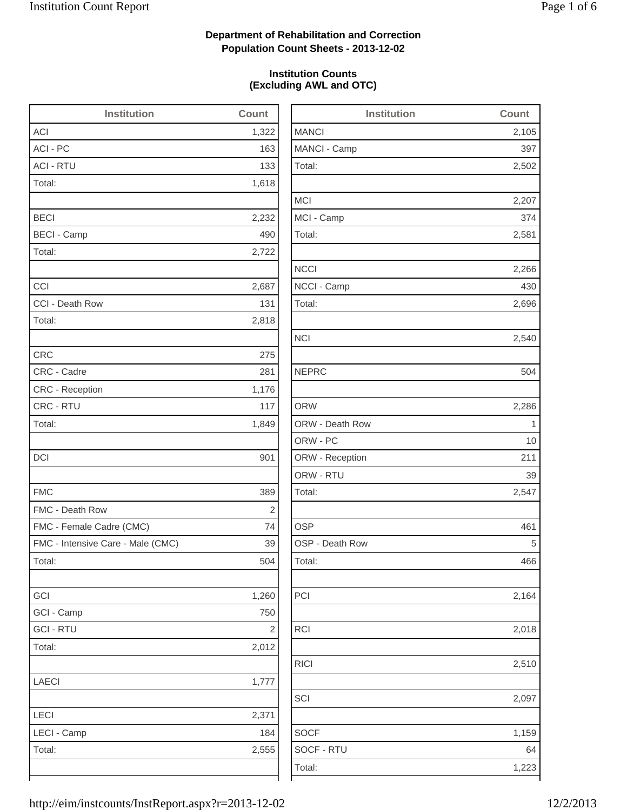2,502

2,207

2,266

2,696

2,540

2,286

2,164

2,018

RICI 2,510

1,159

## **Department of Rehabilitation and Correction Population Count Sheets - 2013-12-02**

### **Institution Counts (Excluding AWL and OTC)**

| <b>Institution</b>                | Count          | <b>Institution</b> | Count        |
|-----------------------------------|----------------|--------------------|--------------|
| <b>ACI</b>                        | 1,322          | <b>MANCI</b>       | 2,105        |
| ACI - PC                          | 163            | MANCI - Camp       | 397          |
| <b>ACI - RTU</b>                  | 133            | Total:             | 2,502        |
| Total:                            | 1,618          |                    |              |
|                                   |                | <b>MCI</b>         | 2,207        |
| <b>BECI</b>                       | 2,232          | MCI - Camp         | 374          |
| <b>BECI - Camp</b>                | 490            | Total:             | 2,581        |
| Total:                            | 2,722          |                    |              |
|                                   |                | <b>NCCI</b>        | 2,266        |
| CCI                               | 2,687          | NCCI - Camp        | 430          |
| CCI - Death Row                   | 131            | Total:             | 2,696        |
| Total:                            | 2,818          |                    |              |
|                                   |                | <b>NCI</b>         | 2,540        |
| <b>CRC</b>                        | 275            |                    |              |
| CRC - Cadre                       | 281            | <b>NEPRC</b>       | 504          |
| CRC - Reception                   | 1,176          |                    |              |
| CRC - RTU                         | 117            | <b>ORW</b>         | 2,286        |
| Total:                            | 1,849          | ORW - Death Row    | $\mathbf{1}$ |
|                                   |                | ORW - PC           | 10           |
| <b>DCI</b>                        | 901            | ORW - Reception    | 211          |
|                                   |                | ORW - RTU          | 39           |
| <b>FMC</b>                        | 389            | Total:             | 2,547        |
| FMC - Death Row                   | $\sqrt{2}$     |                    |              |
| FMC - Female Cadre (CMC)          | 74             | <b>OSP</b>         | 461          |
| FMC - Intensive Care - Male (CMC) | 39             | OSP - Death Row    | 5            |
| Total:                            | 504            | Total:             | 466          |
| GCI                               | 1,260          | PCI                | 2,164        |
| GCI - Camp                        | 750            |                    |              |
| <b>GCI - RTU</b>                  | $\overline{2}$ | <b>RCI</b>         | 2,018        |
| Total:                            | 2,012          |                    |              |
|                                   |                | <b>RICI</b>        | 2,510        |
| <b>LAECI</b>                      | 1,777          |                    |              |
|                                   |                | SCI                | 2,097        |
| LECI                              | 2,371          |                    |              |
| LECI - Camp                       | 184            | <b>SOCF</b>        | 1,159        |
|                                   |                |                    |              |
| Total:                            | 2,555          | SOCF - RTU         | 64           |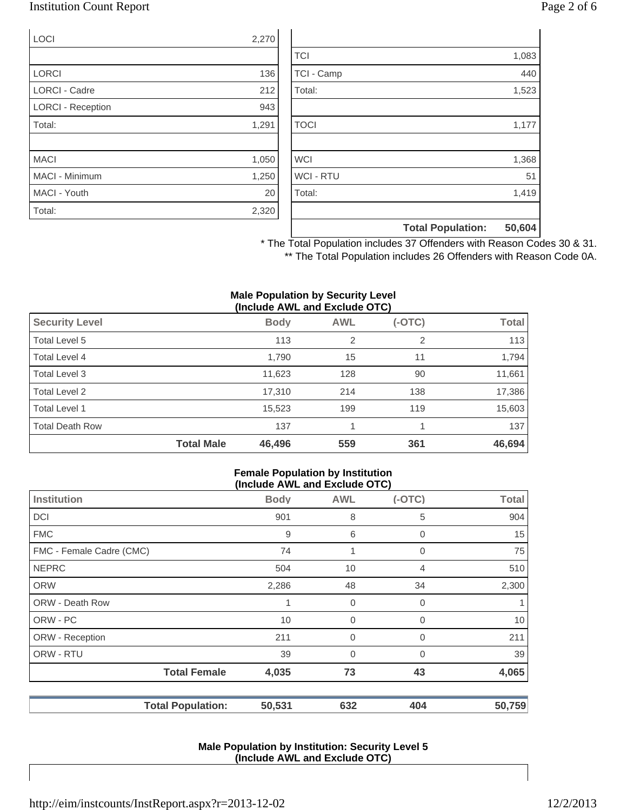## Institution Count Report Page 2 of 6

| <b>LOCI</b>              | 2,270 |
|--------------------------|-------|
|                          |       |
| <b>LORCI</b>             | 136   |
| <b>LORCI - Cadre</b>     | 212   |
| <b>LORCI - Reception</b> | 943   |
| Total:                   | 1,291 |
|                          |       |
| <b>MACI</b>              | 1,050 |
| <b>MACI - Minimum</b>    | 1,250 |
| MACI - Youth             | 20    |
| Total:                   | 2,320 |

|                  | <b>Total Population:</b> | 50,604 |
|------------------|--------------------------|--------|
|                  |                          |        |
| Total:           |                          | 1,419  |
| <b>WCI - RTU</b> |                          | 51     |
| <b>WCI</b>       |                          | 1,368  |
|                  |                          |        |
| <b>TOCI</b>      |                          | 1,177  |
|                  |                          |        |
| Total:           |                          | 1,523  |
| TCI - Camp       |                          | 440    |
| <b>TCI</b>       |                          | 1,083  |

\* The Total Population includes 37 Offenders with Reason Codes 30 & 31. \*\* The Total Population includes 26 Offenders with Reason Code 0A.

#### **Male Population by Security Level (Include AWL and Exclude OTC)**

| <b>Security Level</b>  |                   | <b>Body</b> | <b>AWL</b>     | $(-OTC)$ | <b>Total</b> |
|------------------------|-------------------|-------------|----------------|----------|--------------|
| Total Level 5          |                   | 113         | $\overline{2}$ | 2        | 113          |
| Total Level 4          |                   | 1,790       | 15             | 11       | 1,794        |
| Total Level 3          |                   | 11,623      | 128            | 90       | 11,661       |
| Total Level 2          |                   | 17,310      | 214            | 138      | 17,386       |
| Total Level 1          |                   | 15,523      | 199            | 119      | 15,603       |
| <b>Total Death Row</b> |                   | 137         |                |          | 137          |
|                        | <b>Total Male</b> | 46,496      | 559            | 361      | 46,694       |

#### **Female Population by Institution (Include AWL and Exclude OTC)**

| $(1101000)$ and the thousand $(0.0000)$ |             |                |          |              |
|-----------------------------------------|-------------|----------------|----------|--------------|
| <b>Institution</b>                      | <b>Body</b> | <b>AWL</b>     | $(-OTC)$ | <b>Total</b> |
| <b>DCI</b>                              | 901         | 8              | 5        | 904          |
| <b>FMC</b>                              | 9           | 6              | 0        | 15           |
| FMC - Female Cadre (CMC)                | 74          | 1              | 0        | 75           |
| <b>NEPRC</b>                            | 504         | 10             | 4        | 510          |
| <b>ORW</b>                              | 2,286       | 48             | 34       | 2,300        |
| <b>ORW - Death Row</b>                  | 1           | 0              | 0        | 1            |
| ORW - PC                                | 10          | $\mathbf 0$    | 0        | 10           |
| ORW - Reception                         | 211         | $\mathbf 0$    | 0        | 211          |
| ORW - RTU                               | 39          | $\overline{0}$ | $\Omega$ | 39           |
| <b>Total Female</b>                     | 4,035       | 73             | 43       | 4,065        |
| <b>Total Population:</b>                | 50,531      | 632            | 404      | 50,759       |

#### **Male Population by Institution: Security Level 5 (Include AWL and Exclude OTC)**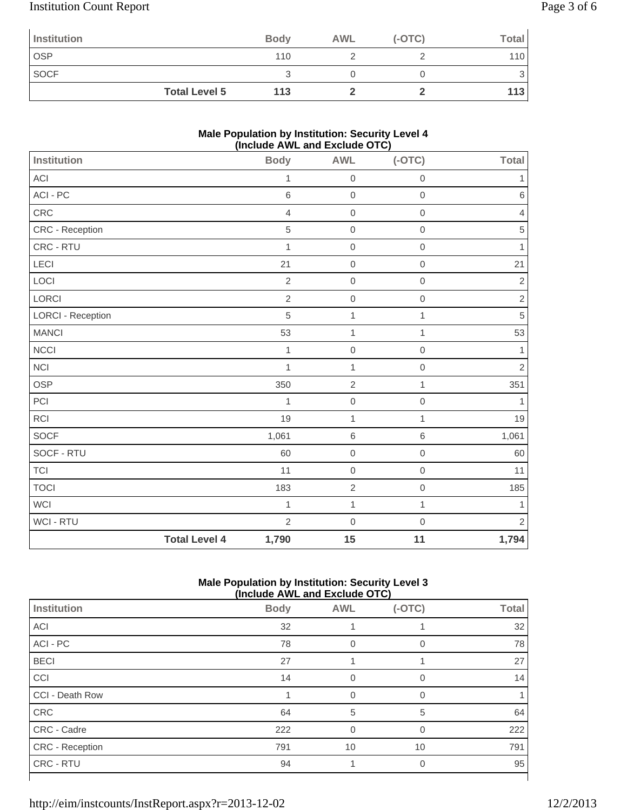# Institution Count Report Page 3 of 6

| Institution |                      | <b>Body</b> | <b>AWL</b> | $(-OTC)$ | <b>Total</b> |
|-------------|----------------------|-------------|------------|----------|--------------|
| <b>OSP</b>  |                      | 110         |            |          | 110          |
| <b>SOCF</b> |                      |             |            |          | ◡            |
|             | <b>Total Level 5</b> | 113         |            |          | 113          |

### **Male Population by Institution: Security Level 4 (Include AWL and Exclude OTC)**

| <b>Institution</b>       |                      | <b>Body</b>    | <b>AWL</b>       | $(-OTC)$            | <b>Total</b>   |
|--------------------------|----------------------|----------------|------------------|---------------------|----------------|
| ACI                      |                      | $\mathbf{1}$   | $\mbox{O}$       | $\mathbf 0$         | 1              |
| $ACI - PC$               |                      | 6              | $\mathbf 0$      | $\mathbf 0$         | $\,6$          |
| CRC                      |                      | $\overline{4}$ | $\boldsymbol{0}$ | $\mathbf 0$         | $\overline{4}$ |
| CRC - Reception          |                      | 5              | $\mathbf 0$      | $\mathbf 0$         | $\sqrt{5}$     |
| CRC - RTU                |                      | $\mathbf{1}$   | $\mathbf 0$      | $\mathbf 0$         | 1              |
| LECI                     |                      | 21             | $\mbox{O}$       | $\mathbf 0$         | 21             |
| LOCI                     |                      | $\overline{2}$ | $\mathbf 0$      | $\mathbf 0$         | $\overline{2}$ |
| LORCI                    |                      | $\sqrt{2}$     | $\mathbf 0$      | $\mathbf 0$         | $\mathbf{2}$   |
| <b>LORCI - Reception</b> |                      | 5              | 1                | 1                   | $\sqrt{5}$     |
| <b>MANCI</b>             |                      | 53             | $\mathbf{1}$     | $\mathbf{1}$        | 53             |
| <b>NCCI</b>              |                      | $\mathbf{1}$   | $\mathbf 0$      | $\mathsf{O}\xspace$ | $\mathbf{1}$   |
| NCI                      |                      | $\mathbf{1}$   | $\mathbf{1}$     | $\mathbf 0$         | $\overline{2}$ |
| OSP                      |                      | 350            | $\overline{2}$   | $\mathbf{1}$        | 351            |
| $\sf{PCI}$               |                      | 1              | $\mbox{O}$       | $\mathbf 0$         | 1              |
| <b>RCI</b>               |                      | 19             | $\mathbf{1}$     | $\mathbf{1}$        | 19             |
| SOCF                     |                      | 1,061          | $\,$ 6 $\,$      | $\,6\,$             | 1,061          |
| SOCF - RTU               |                      | 60             | $\mathbf 0$      | $\mathbf 0$         | 60             |
| <b>TCI</b>               |                      | 11             | $\boldsymbol{0}$ | $\mathbf 0$         | 11             |
| <b>TOCI</b>              |                      | 183            | $\overline{c}$   | $\mbox{O}$          | 185            |
| <b>WCI</b>               |                      | $\mathbf{1}$   | $\mathbf{1}$     | $\mathbf{1}$        | $\mathbf{1}$   |
| WCI - RTU                |                      | $\overline{2}$ | $\mathbf 0$      | $\mathbf 0$         | $\overline{2}$ |
|                          | <b>Total Level 4</b> | 1,790          | 15               | 11                  | 1,794          |

### **Male Population by Institution: Security Level 3 (Include AWL and Exclude OTC)**

| (include AWL and Exclude OTC) |             |            |             |              |  |  |
|-------------------------------|-------------|------------|-------------|--------------|--|--|
| Institution                   | <b>Body</b> | <b>AWL</b> | $(-OTC)$    | <b>Total</b> |  |  |
| <b>ACI</b>                    | 32          |            |             | 32           |  |  |
| ACI - PC                      | 78          | 0          | $\mathbf 0$ | 78           |  |  |
| <b>BECI</b>                   | 27          |            |             | 27           |  |  |
| CCI                           | 14          |            | $\Omega$    | 14           |  |  |
| CCI - Death Row               |             | $\Omega$   | $\Omega$    |              |  |  |
| CRC                           | 64          | 5          | 5           | 64           |  |  |
| CRC - Cadre                   | 222         | $\Omega$   | $\Omega$    | 222          |  |  |
| <b>CRC</b> - Reception        | 791         | 10         | 10          | 791          |  |  |
| CRC - RTU                     | 94          |            | 0           | 95           |  |  |
|                               |             |            |             |              |  |  |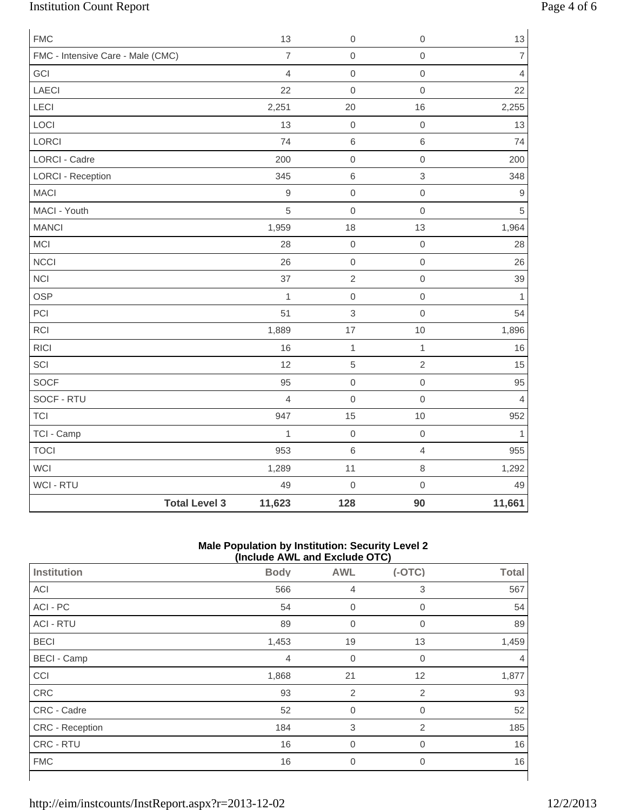# Institution Count Report Page 4 of 6

| <b>FMC</b>                        |                      | 13             | $\mathbf 0$    | $\mathbf 0$         | $13$           |
|-----------------------------------|----------------------|----------------|----------------|---------------------|----------------|
| FMC - Intensive Care - Male (CMC) |                      | $\overline{7}$ | $\mathbf 0$    | $\mathsf{O}\xspace$ | $\overline{7}$ |
| GCI                               |                      | $\overline{4}$ | $\mathbf 0$    | $\mathsf{O}\xspace$ | $\overline{4}$ |
| <b>LAECI</b>                      |                      | 22             | $\mathbf 0$    | $\mathsf{O}\xspace$ | 22             |
| LECI                              |                      | 2,251          | 20             | 16                  | 2,255          |
| LOCI                              |                      | 13             | $\mathbf 0$    | $\mathsf{O}\xspace$ | 13             |
| LORCI                             |                      | 74             | $\,6\,$        | $\,6$               | 74             |
| <b>LORCI - Cadre</b>              |                      | 200            | $\mbox{O}$     | $\mathsf{O}\xspace$ | 200            |
| <b>LORCI - Reception</b>          |                      | 345            | $\,6\,$        | $\mathfrak{S}$      | 348            |
| <b>MACI</b>                       |                      | $\mathsf 9$    | $\mbox{O}$     | $\mathsf{O}\xspace$ | 9              |
| MACI - Youth                      |                      | 5              | $\mathbf 0$    | $\mathsf{O}\xspace$ | 5              |
| <b>MANCI</b>                      |                      | 1,959          | 18             | 13                  | 1,964          |
| MCI                               |                      | 28             | $\mbox{O}$     | $\mathbf 0$         | 28             |
| <b>NCCI</b>                       |                      | 26             | $\mathbf 0$    | $\mathsf{O}\xspace$ | 26             |
| <b>NCI</b>                        |                      | 37             | $\overline{2}$ | $\mathsf{O}\xspace$ | 39             |
| OSP                               |                      | $\mathbf{1}$   | $\mathbf 0$    | $\mathsf{O}\xspace$ | $\mathbf{1}$   |
| PCI                               |                      | 51             | 3              | $\mathsf{O}\xspace$ | 54             |
| RCI                               |                      | 1,889          | 17             | $10$                | 1,896          |
| <b>RICI</b>                       |                      | 16             | $\mathbf 1$    | $\mathbf{1}$        | 16             |
| SCI                               |                      | 12             | $\sqrt{5}$     | $\overline{2}$      | 15             |
| <b>SOCF</b>                       |                      | 95             | $\mathbf 0$    | $\mathsf{O}\xspace$ | 95             |
| SOCF - RTU                        |                      | $\overline{4}$ | $\mathbf 0$    | $\mathsf{O}\xspace$ | $\overline{4}$ |
| <b>TCI</b>                        |                      | 947            | 15             | $10$                | 952            |
| TCI - Camp                        |                      | $\mathbf{1}$   | $\mathbf 0$    | $\mathsf{O}\xspace$ | $\mathbf{1}$   |
| <b>TOCI</b>                       |                      | 953            | $\,$ 6 $\,$    | $\overline{4}$      | 955            |
| WCI                               |                      | 1,289          | 11             | 8                   | 1,292          |
| WCI - RTU                         |                      | 49             | $\mathbf 0$    | $\mathsf{O}\xspace$ | 49             |
|                                   | <b>Total Level 3</b> | 11,623         | 128            | 90                  | 11,661         |

### **Male Population by Institution: Security Level 2 (Include AWL and Exclude OTC)**

|                    | $\mu$ . The process $\mu$ and $\mu$ and $\mu$ and $\mu$ |                |                |              |  |  |  |
|--------------------|---------------------------------------------------------|----------------|----------------|--------------|--|--|--|
| Institution        | <b>Body</b>                                             | <b>AWL</b>     | $(-OTC)$       | <b>Total</b> |  |  |  |
| ACI                | 566                                                     | $\overline{4}$ | 3              | 567          |  |  |  |
| ACI - PC           | 54                                                      | $\mathbf 0$    | $\mathbf 0$    | 54           |  |  |  |
| <b>ACI - RTU</b>   | 89                                                      | $\mathbf 0$    | 0              | 89           |  |  |  |
| <b>BECI</b>        | 1,453                                                   | 19             | 13             | 1,459        |  |  |  |
| <b>BECI - Camp</b> | $\overline{4}$                                          | $\mathbf 0$    | $\overline{0}$ | 4            |  |  |  |
| CCI                | 1,868                                                   | 21             | 12             | 1,877        |  |  |  |
| CRC                | 93                                                      | $\overline{2}$ | $\overline{2}$ | 93           |  |  |  |
| CRC - Cadre        | 52                                                      | $\mathbf 0$    | $\mathbf{0}$   | 52           |  |  |  |
| CRC - Reception    | 184                                                     | 3              | 2              | 185          |  |  |  |
| CRC - RTU          | 16                                                      | $\mathbf 0$    | 0              | 16           |  |  |  |
| <b>FMC</b>         | 16                                                      | $\overline{0}$ | $\overline{0}$ | 16           |  |  |  |
|                    |                                                         |                |                |              |  |  |  |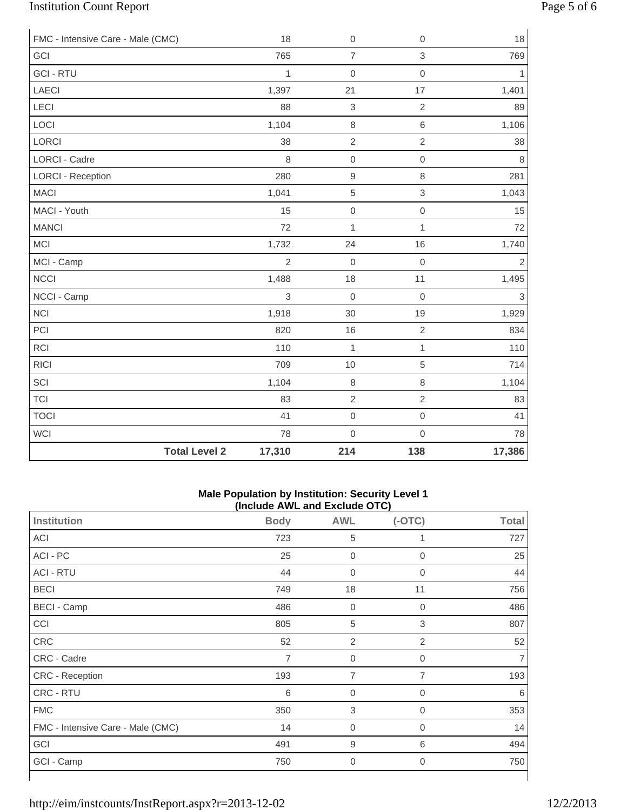# Institution Count Report Page 5 of 6

| FMC - Intensive Care - Male (CMC) |                      | 18             | $\boldsymbol{0}$ | $\mathbf 0$         | 18             |
|-----------------------------------|----------------------|----------------|------------------|---------------------|----------------|
| GCI                               |                      | 765            | $\overline{7}$   | 3                   | 769            |
| <b>GCI - RTU</b>                  |                      | $\mathbf{1}$   | $\mathbf 0$      | $\overline{0}$      | $\mathbf{1}$   |
| <b>LAECI</b>                      |                      | 1,397          | 21               | 17                  | 1,401          |
| LECI                              |                      | 88             | $\,$ 3 $\,$      | $\overline{2}$      | 89             |
| LOCI                              |                      | 1,104          | $\,8\,$          | $\,6$               | 1,106          |
| LORCI                             |                      | 38             | $\sqrt{2}$       | $\overline{2}$      | 38             |
| <b>LORCI - Cadre</b>              |                      | 8              | $\mathbf 0$      | $\mathbf 0$         | 8              |
| <b>LORCI - Reception</b>          |                      | 280            | $\hbox{9}$       | 8                   | 281            |
| <b>MACI</b>                       |                      | 1,041          | $\sqrt{5}$       | $\mathfrak{S}$      | 1,043          |
| MACI - Youth                      |                      | 15             | $\mbox{O}$       | $\mathsf{O}\xspace$ | 15             |
| <b>MANCI</b>                      |                      | 72             | $\mathbf{1}$     | $\mathbf{1}$        | 72             |
| MCI                               |                      | 1,732          | 24               | 16                  | 1,740          |
| MCI - Camp                        |                      | $\overline{2}$ | $\mathbf 0$      | $\mathbf 0$         | $\mathbf 2$    |
| <b>NCCI</b>                       |                      | 1,488          | 18               | 11                  | 1,495          |
| NCCI - Camp                       |                      | $\mathsf 3$    | $\mathbf 0$      | $\mathbf 0$         | $\mathfrak{S}$ |
| <b>NCI</b>                        |                      | 1,918          | 30               | 19                  | 1,929          |
| PCI                               |                      | 820            | 16               | $\overline{2}$      | 834            |
| <b>RCI</b>                        |                      | 110            | $\mathbf{1}$     | 1                   | 110            |
| <b>RICI</b>                       |                      | 709            | 10               | 5                   | 714            |
| SCI                               |                      | 1,104          | $\,8\,$          | $\,8\,$             | 1,104          |
| <b>TCI</b>                        |                      | 83             | $\overline{2}$   | $\overline{2}$      | 83             |
| <b>TOCI</b>                       |                      | 41             | $\boldsymbol{0}$ | $\mathbf 0$         | 41             |
| <b>WCI</b>                        |                      | 78             | $\mathbf 0$      | $\mathsf{O}\xspace$ | 78             |
|                                   | <b>Total Level 2</b> | 17,310         | 214              | 138                 | 17,386         |

#### **Male Population by Institution: Security Level 1 (Include AWL and Exclude OTC)**

| Institution                       | <b>Body</b>    | <b>AWL</b>       | .<br>$(-OTC)$  | <b>Total</b> |
|-----------------------------------|----------------|------------------|----------------|--------------|
| ACI                               | 723            | 5                |                | 727          |
| ACI - PC                          | 25             | $\overline{0}$   | $\overline{0}$ | 25           |
| <b>ACI - RTU</b>                  | 44             | $\mathbf 0$      | 0              | 44           |
| <b>BECI</b>                       | 749            | 18               | 11             | 756          |
| <b>BECI - Camp</b>                | 486            | $\overline{0}$   | $\mathbf 0$    | 486          |
| CCI                               | 805            | $\,$ 5 $\,$      | 3              | 807          |
| CRC                               | 52             | $\overline{2}$   | 2              | 52           |
| CRC - Cadre                       | $\overline{7}$ | $\boldsymbol{0}$ | 0              | 7            |
| CRC - Reception                   | 193            | 7                | 7              | 193          |
| CRC - RTU                         | 6              | $\boldsymbol{0}$ | 0              | 6            |
| <b>FMC</b>                        | 350            | $\,$ 3 $\,$      | 0              | 353          |
| FMC - Intensive Care - Male (CMC) | 14             | $\overline{0}$   | $\overline{0}$ | 14           |
| GCI                               | 491            | 9                | 6              | 494          |
| GCI - Camp                        | 750            | $\boldsymbol{0}$ | 0              | 750          |